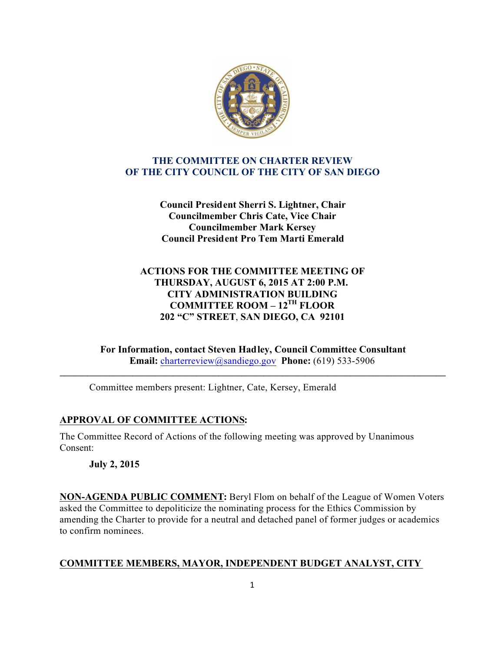

### **THE COMMITTEE ON CHARTER REVIEW OF THE CITY COUNCIL OF THE CITY OF SAN DIEGO**

**Council President Sherri S. Lightner, Chair Councilmember Chris Cate, Vice Chair Councilmember Mark Kersey Council President Pro Tem Marti Emerald**

# **ACTIONS FOR THE COMMITTEE MEETING OF THURSDAY, AUGUST 6, 2015 AT 2:00 P.M. CITY ADMINISTRATION BUILDING COMMITTEE ROOM – 12TH FLOOR 202 "C" STREET**, **SAN DIEGO, CA 92101**

**For Information, contact Steven Hadley, Council Committee Consultant Email:** charterreview@sandiego.gov **Phone:** (619) 533-5906

**\_\_\_\_\_\_\_\_\_\_\_\_\_\_\_\_\_\_\_\_\_\_\_\_\_\_\_\_\_\_\_\_\_\_\_\_\_\_\_\_\_\_\_\_\_\_\_\_\_\_\_\_\_\_\_\_\_\_\_\_\_\_\_\_\_\_\_\_\_\_\_\_\_\_\_\_\_\_\_\_\_\_\_\_\_**

Committee members present: Lightner, Cate, Kersey, Emerald

# **APPROVAL OF COMMITTEE ACTIONS:**

The Committee Record of Actions of the following meeting was approved by Unanimous Consent:

**July 2, 2015**

**NON-AGENDA PUBLIC COMMENT:** Beryl Flom on behalf of the League of Women Voters asked the Committee to depoliticize the nominating process for the Ethics Commission by amending the Charter to provide for a neutral and detached panel of former judges or academics to confirm nominees.

# **COMMITTEE MEMBERS, MAYOR, INDEPENDENT BUDGET ANALYST, CITY**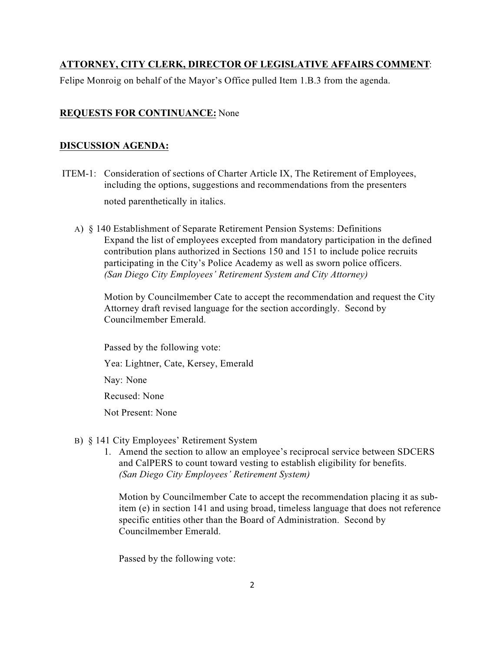# **ATTORNEY, CITY CLERK, DIRECTOR OF LEGISLATIVE AFFAIRS COMMENT**:

Felipe Monroig on behalf of the Mayor's Office pulled Item 1.B.3 from the agenda.

### **REQUESTS FOR CONTINUANCE:** None

#### **DISCUSSION AGENDA:**

- ITEM-1: Consideration of sections of Charter Article IX, The Retirement of Employees, including the options, suggestions and recommendations from the presenters noted parenthetically in italics.
	- A) § 140 Establishment of Separate Retirement Pension Systems: Definitions Expand the list of employees excepted from mandatory participation in the defined contribution plans authorized in Sections 150 and 151 to include police recruits participating in the City's Police Academy as well as sworn police officers. *(San Diego City Employees' Retirement System and City Attorney)*

Motion by Councilmember Cate to accept the recommendation and request the City Attorney draft revised language for the section accordingly. Second by Councilmember Emerald.

 Passed by the following vote: Yea: Lightner, Cate, Kersey, Emerald Nay: None Recused: None Not Present: None

- B) § 141 City Employees' Retirement System
	- 1. Amend the section to allow an employee's reciprocal service between SDCERS and CalPERS to count toward vesting to establish eligibility for benefits. *(San Diego City Employees' Retirement System)*

Motion by Councilmember Cate to accept the recommendation placing it as subitem (e) in section 141 and using broad, timeless language that does not reference specific entities other than the Board of Administration. Second by Councilmember Emerald.

Passed by the following vote: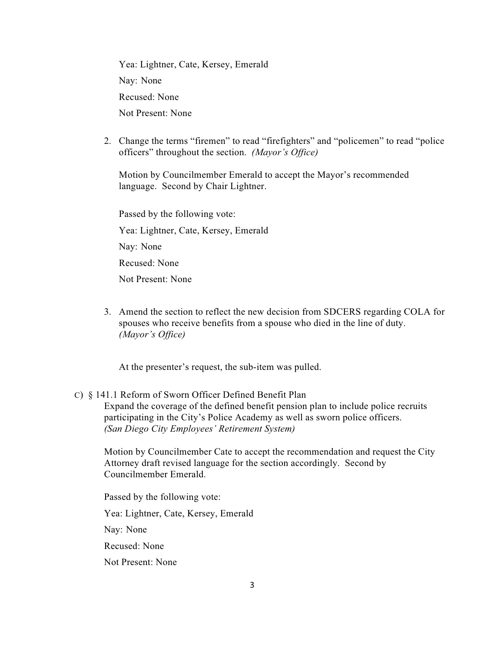Yea: Lightner, Cate, Kersey, Emerald Nay: None Recused: None Not Present: None

2. Change the terms "firemen" to read "firefighters" and "policemen" to read "police officers" throughout the section. *(Mayor's Office)*

Motion by Councilmember Emerald to accept the Mayor's recommended language. Second by Chair Lightner.

 Passed by the following vote: Yea: Lightner, Cate, Kersey, Emerald Nay: None Recused: None Not Present: None

 3. Amend the section to reflect the new decision from SDCERS regarding COLA for spouses who receive benefits from a spouse who died in the line of duty. *(Mayor's Office)*

At the presenter's request, the sub-item was pulled.

### C) § 141.1 Reform of Sworn Officer Defined Benefit Plan Expand the coverage of the defined benefit pension plan to include police recruits participating in the City's Police Academy as well as sworn police officers. *(San Diego City Employees' Retirement System)*

Motion by Councilmember Cate to accept the recommendation and request the City Attorney draft revised language for the section accordingly. Second by Councilmember Emerald.

Passed by the following vote:

Yea: Lightner, Cate, Kersey, Emerald

Nay: None

Recused: None

Not Present: None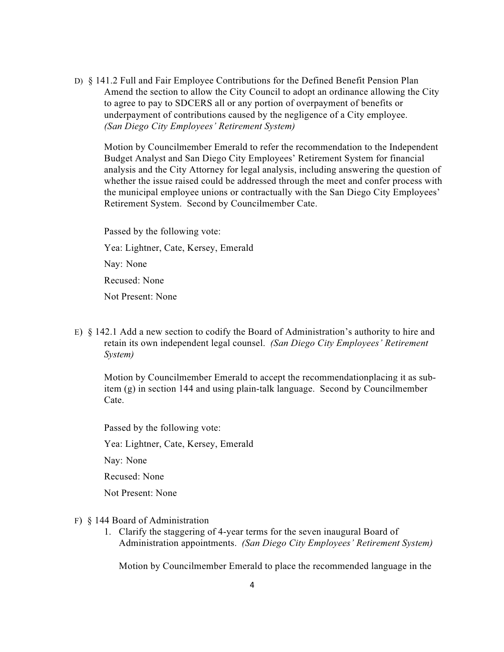D) § 141.2 Full and Fair Employee Contributions for the Defined Benefit Pension Plan Amend the section to allow the City Council to adopt an ordinance allowing the City to agree to pay to SDCERS all or any portion of overpayment of benefits or underpayment of contributions caused by the negligence of a City employee. *(San Diego City Employees' Retirement System)*

 Motion by Councilmember Emerald to refer the recommendation to the Independent Budget Analyst and San Diego City Employees' Retirement System for financial analysis and the City Attorney for legal analysis, including answering the question of whether the issue raised could be addressed through the meet and confer process with the municipal employee unions or contractually with the San Diego City Employees' Retirement System. Second by Councilmember Cate.

 Passed by the following vote: Yea: Lightner, Cate, Kersey, Emerald Nay: None Recused: None Not Present: None

 E) § 142.1 Add a new section to codify the Board of Administration's authority to hire and retain its own independent legal counsel. *(San Diego City Employees' Retirement System)*

Motion by Councilmember Emerald to accept the recommendationplacing it as subitem (g) in section 144 and using plain-talk language. Second by Councilmember Cate.

Passed by the following vote:

Yea: Lightner, Cate, Kersey, Emerald

Nay: None

Recused: None

Not Present: None

- F) § 144 Board of Administration
	- 1. Clarify the staggering of 4-year terms for the seven inaugural Board of Administration appointments. *(San Diego City Employees' Retirement System)*

Motion by Councilmember Emerald to place the recommended language in the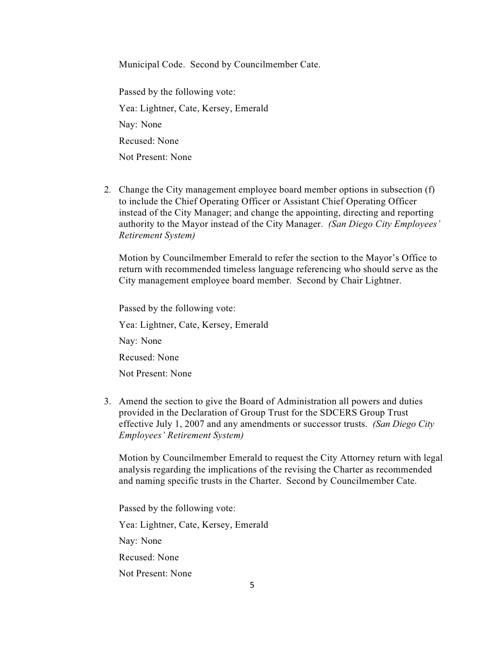Municipal Code. Second by Councilmember Cate.

 Passed by the following vote: Yea: Lightner, Cate, Kersey, Emerald Nay: None Recused: None Not Present: None

2. Change the City management employee board member options in subsection (f) to include the Chief Operating Officer or Assistant Chief Operating Officer instead of the City Manager; and change the appointing, directing and reporting authority to the Mayor instead of the City Manager. *(San Diego City Employees' Retirement System)*

Motion by Councilmember Emerald to refer the section to the Mayor's Office to return with recommended timeless language referencing who should serve as the City management employee board member. Second by Chair Lightner.

 Passed by the following vote: Yea: Lightner, Cate, Kersey, Emerald Nay: None Recused: None Not Present: None

3. Amend the section to give the Board of Administration all powers and duties provided in the Declaration of Group Trust for the SDCERS Group Trust effective July 1, 2007 and any amendments or successor trusts. *(San Diego City Employees' Retirement System)*

Motion by Councilmember Emerald to request the City Attorney return with legal analysis regarding the implications of the revising the Charter as recommended and naming specific trusts in the Charter. Second by Councilmember Cate.

 Passed by the following vote: Yea: Lightner, Cate, Kersey, Emerald Nay: None Recused: None Not Present: None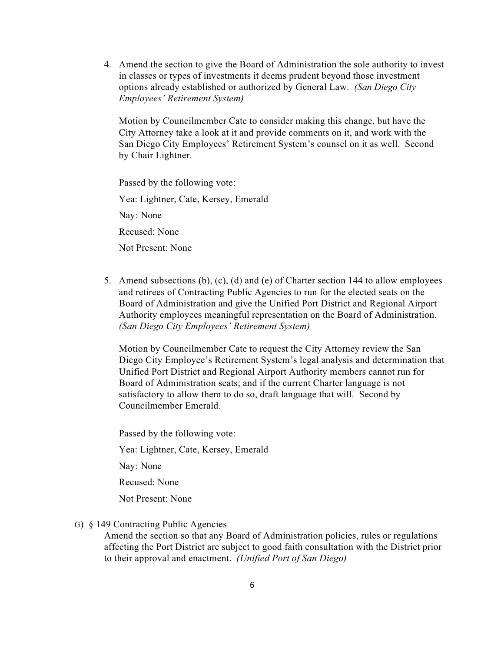4. Amend the section to give the Board of Administration the sole authority to invest in classes or types of investments it deems prudent beyond those investment options already established or authorized by General Law. *(San Diego City Employees' Retirement System)*

Motion by Councilmember Cate to consider making this change, but have the City Attorney take a look at it and provide comments on it, and work with the San Diego City Employees' Retirement System's counsel on it as well. Second by Chair Lightner.

Passed by the following vote:

Yea: Lightner, Cate, Kersey, Emerald

Nay: None

Recused: None

Not Present: None

5. Amend subsections (b), (c), (d) and (e) of Charter section 144 to allow employees and retirees of Contracting Public Agencies to run for the elected seats on the Board of Administration and give the Unified Port District and Regional Airport Authority employees meaningful representation on the Board of Administration. *(San Diego City Employees' Retirement System)*

Motion by Councilmember Cate to request the City Attorney review the San Diego City Employee's Retirement System's legal analysis and determination that Unified Port District and Regional Airport Authority members cannot run for Board of Administration seats; and if the current Charter language is not satisfactory to allow them to do so, draft language that will. Second by Councilmember Emerald.

 Passed by the following vote: Yea: Lightner, Cate, Kersey, Emerald Nay: None Recused: None Not Present: None

G) § 149 Contracting Public Agencies

Amend the section so that any Board of Administration policies, rules or regulations affecting the Port District are subject to good faith consultation with the District prior to their approval and enactment. *(Unified Port of San Diego)*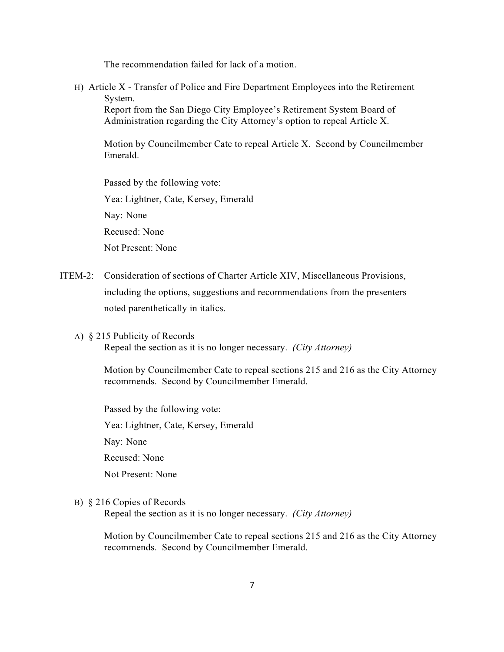The recommendation failed for lack of a motion.

H) Article X - Transfer of Police and Fire Department Employees into the Retirement System.

Report from the San Diego City Employee's Retirement System Board of Administration regarding the City Attorney's option to repeal Article X.

Motion by Councilmember Cate to repeal Article X. Second by Councilmember Emerald.

Passed by the following vote:

Yea: Lightner, Cate, Kersey, Emerald

Nay: None

Recused: None

Not Present: None

- ITEM-2: Consideration of sections of Charter Article XIV, Miscellaneous Provisions, including the options, suggestions and recommendations from the presenters noted parenthetically in italics.
	- A) § 215 Publicity of Records

Repeal the section as it is no longer necessary. *(City Attorney)*

Motion by Councilmember Cate to repeal sections 215 and 216 as the City Attorney recommends. Second by Councilmember Emerald.

 Passed by the following vote: Yea: Lightner, Cate, Kersey, Emerald Nay: None Recused: None Not Present: None

B) § 216 Copies of Records

Repeal the section as it is no longer necessary. *(City Attorney)*

Motion by Councilmember Cate to repeal sections 215 and 216 as the City Attorney recommends. Second by Councilmember Emerald.